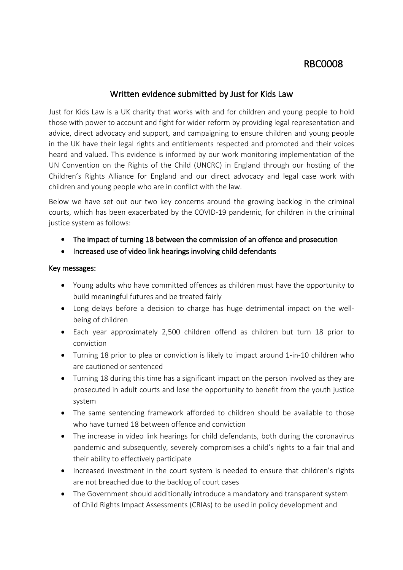# **RBC0008**

## **Written evidence submitted by Just for Kids Law**

Just for Kids Law is a UK charity that works with and for children and young people to hold those with power to account and fight for wider reform by providing legal representation and advice, direct advocacy and support, and campaigning to ensure children and young people in the UK have their legal rights and entitlements respected and promoted and their voices heard and valued.This evidence is informed by our work monitoring implementation of the UN Convention on the Rights of the Child (UNCRC) in England through our hosting of the Children's Rights Alliance for England and our direct advocacy and legal case work with children and young people who are in conflict with the law.

Below we have set out our two key concerns around the growing backlog in the criminal courts, which has been exacerbated by the COVID-19 pandemic, for children in the criminal justice system as follows:

- **The impact of turning 18 between the commission of an offence and prosecution**
- **Increased use of video link hearings involving child defendants**

#### **Key messages:**

- Young adults who have committed offences as children must have the opportunity to build meaningful futures and be treated fairly
- Long delays before a decision to charge has huge detrimental impact on the wellbeing of children
- Each year approximately 2,500 children offend as children but turn 18 prior to conviction
- Turning 18 prior to plea or conviction is likely to impact around 1-in-10 children who are cautioned or sentenced
- Turning 18 during this time has a significant impact on the person involved as they are prosecuted in adult courts and lose the opportunity to benefit from the youth justice system
- The same sentencing framework afforded to children should be available to those who have turned 18 between offence and conviction
- The increase in video link hearings for child defendants, both during the coronavirus pandemic and subsequently, severely compromises a child's rights to a fair trial and their ability to effectively participate
- Increased investment in the court system is needed to ensure that children's rights are not breached due to the backlog of court cases
- The Government should additionally introduce a mandatory and transparent system of Child Rights Impact Assessments (CRIAs) to be used in policy development and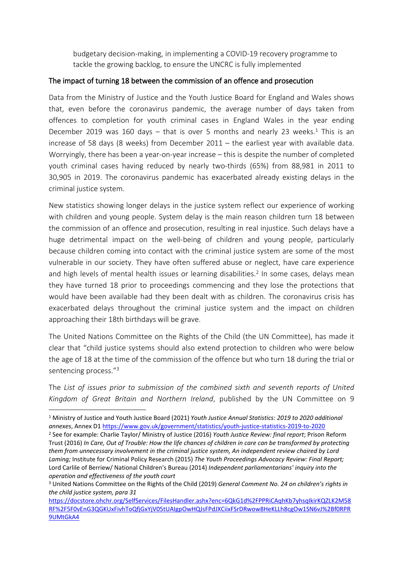budgetary decision-making, in implementing a COVID-19 recovery programme to tackle the growing backlog, to ensure the UNCRC is fully implemented

#### **The impact of turning 18 between the commission of an offence and prosecution**

Data from the Ministry of Justice and the Youth Justice Board for England and Wales shows that, even before the coronavirus pandemic, the average number of days taken from offences to completion for youth criminal cases in England Wales in the year ending December 2019 was 160 days  $-$  that is over 5 months and nearly 23 weeks.<sup>1</sup> This is an increase of 58 days (8 weeks) from December 2011 – the earliest year with available data. Worryingly, there has been a year-on-year increase – this is despite the number of completed youth criminal cases having reduced by nearly two-thirds (65%) from 88,981 in 2011 to 30,905 in 2019. The coronavirus pandemic has exacerbated already existing delays in the criminal justice system.

New statistics showing longer delays in the justice system reflect our experience of working with children and young people. System delay is the main reason children turn 18 between the commission of an offence and prosecution, resulting in real injustice. Such delays have a huge detrimental impact on the well-being of children and young people, particularly because children coming into contact with the criminal justice system are some of the most vulnerable in our society. They have often suffered abuse or neglect, have care experience and high levels of mental health issues or learning disabilities.<sup>2</sup> In some cases, delays mean they have turned 18 prior to proceedings commencing and they lose the protections that would have been available had they been dealt with as children. The coronavirus crisis has exacerbated delays throughout the criminal justice system and the impact on children approaching their 18th birthdays will be grave.

The United Nations Committee on the Rights of the Child (the UN Committee), has made it clear that "child justice systems should also extend protection to children who were below the age of 18 at the time of the commission of the offence but who turn 18 during the trial or sentencing process."<sup>3</sup>

The *List of issues prior to submission of the combined sixth and seventh reports of United Kingdom of Great Britain and Northern Ireland*, published by the UN Committee on 9

<sup>1</sup> Ministry of Justice and Youth Justice Board (2021) *Youth Justice Annual Statistics: 2019 to 2020 additional annexes*, Annex D1 <https://www.gov.uk/government/statistics/youth-justice-statistics-2019-to-2020>

<sup>2</sup> See for example: Charlie Taylor/ Ministry of Justice (2016) *Youth Justice Review: final report*; Prison Reform Trust (2016) In Care, Out of Trouble: How the life chances of children in care can be transformed by protecting *them from unnecessary involvement in the criminal justice system, An independent review chaired by Lord Laming;* Institute for Criminal Policy Research (2015) *The Youth Proceedings Advocacy Review: Final Report;* Lord Carlile of Berriew/ National Children's Bureau (2014) *Independent parliamentarians' inquiry into the operation and effectiveness of the youth court*

<sup>3</sup> United Nations Committee on the Rights of the Child (2019) *General Comment No. 24 on children's rights in the child justice system, para 31*

[https://docstore.ohchr.org/SelfServices/FilesHandler.ashx?enc=6QkG1d%2FPPRiCAqhKb7yhsqIkirKQZLK2M58](https://docstore.ohchr.org/SelfServices/FilesHandler.ashx?enc=6QkG1d%2FPPRiCAqhKb7yhsqIkirKQZLK2M58RF%2F5F0vEnG3QGKUxFivhToQfjGxYjV05tUAIgpOwHQJsFPdJXCiixFSrDRwow8HeKLLh8cgOw1SN6vJ%2Bf0RPR9UMtGkA4) [RF%2F5F0vEnG3QGKUxFivhToQfjGxYjV05tUAIgpOwHQJsFPdJXCiixFSrDRwow8HeKLLh8cgOw1SN6vJ%2Bf0RPR](https://docstore.ohchr.org/SelfServices/FilesHandler.ashx?enc=6QkG1d%2FPPRiCAqhKb7yhsqIkirKQZLK2M58RF%2F5F0vEnG3QGKUxFivhToQfjGxYjV05tUAIgpOwHQJsFPdJXCiixFSrDRwow8HeKLLh8cgOw1SN6vJ%2Bf0RPR9UMtGkA4) [9UMtGkA4](https://docstore.ohchr.org/SelfServices/FilesHandler.ashx?enc=6QkG1d%2FPPRiCAqhKb7yhsqIkirKQZLK2M58RF%2F5F0vEnG3QGKUxFivhToQfjGxYjV05tUAIgpOwHQJsFPdJXCiixFSrDRwow8HeKLLh8cgOw1SN6vJ%2Bf0RPR9UMtGkA4)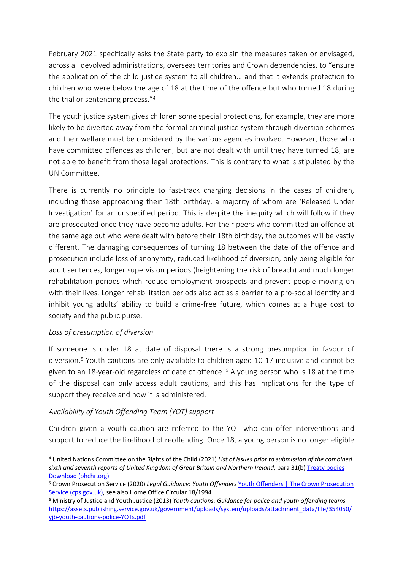February 2021 specifically asks the State party to explain the measures taken or envisaged, across all devolved administrations, overseas territories and Crown dependencies, to "ensure the application of the child justice system to all children… and that it extends protection to children who were below the age of 18 at the time of the offence but who turned 18 during the trial or sentencing process."<sup>4</sup>

The youth justice system gives children some special protections, for example, they are more likely to be diverted away from the formal criminal justice system through diversion schemes and their welfare must be considered by the various agencies involved. However, those who have committed offences as children, but are not dealt with until they have turned 18, are not able to benefit from those legal protections. This is contrary to what is stipulated by the UN Committee.

There is currently no principle to fast-track charging decisions in the cases of children, including those approaching their 18th birthday, a majority of whom are 'Released Under Investigation' for an unspecified period. This is despite the inequity which will follow if they are prosecuted once they have become adults. For their peers who committed an offence at the same age but who were dealt with before their 18th birthday, the outcomes will be vastly different. The damaging consequences of turning 18 between the date of the offence and prosecution include loss of anonymity, reduced likelihood of diversion, only being eligible for adult sentences, longer supervision periods (heightening the risk of breach) and much longer rehabilitation periods which reduce employment prospects and prevent people moving on with their lives. Longer rehabilitation periods also act as a barrier to a pro-social identity and inhibit young adults' ability to build a crime-free future, which comes at a huge cost to society and the public purse.

#### *Loss of presumption of diversion*

If someone is under 18 at date of disposal there is a strong presumption in favour of diversion.<sup>5</sup> Youth cautions are only available to children aged 10-17 inclusive and cannot be given to an 18-year-old regardless of date of offence.  $6$  A young person who is 18 at the time of the disposal can only access adult cautions, and this has implications for the type of support they receive and how it is administered.

#### *Availability of Youth Offending Team (YOT) support*

Children given a youth caution are referred to the YOT who can offer interventions and support to reduce the likelihood of reoffending. Once 18, a young person is no longer eligible

<sup>4</sup> United Nations Committee on the Rights of the Child (2021) *List of issues prior to submission of the combined sixth and seventh reports of United Kingdom of Great Britain and Northern Ireland*, para 31(b) [Treaty](https://tbinternet.ohchr.org/_layouts/15/treatybodyexternal/Download.aspx?symbolno=CRC%2fC%2fGBR%2f%20QPR%2f6-7&Lang=en) [bodies](https://tbinternet.ohchr.org/_layouts/15/treatybodyexternal/Download.aspx?symbolno=CRC%2fC%2fGBR%2f%20QPR%2f6-7&Lang=en) [Download](https://tbinternet.ohchr.org/_layouts/15/treatybodyexternal/Download.aspx?symbolno=CRC%2fC%2fGBR%2f%20QPR%2f6-7&Lang=en) [\(ohchr.org\)](https://tbinternet.ohchr.org/_layouts/15/treatybodyexternal/Download.aspx?symbolno=CRC%2fC%2fGBR%2f%20QPR%2f6-7&Lang=en)

<sup>5</sup> Crown Prosecution Service (2020) *Legal Guidance: Youth Offenders* [Youth](https://www.cps.gov.uk/legal-guidance/youth-offenders) [Offenders](https://www.cps.gov.uk/legal-guidance/youth-offenders) [|](https://www.cps.gov.uk/legal-guidance/youth-offenders) [The](https://www.cps.gov.uk/legal-guidance/youth-offenders) [Crown](https://www.cps.gov.uk/legal-guidance/youth-offenders) [Prosecution](https://www.cps.gov.uk/legal-guidance/youth-offenders) [Service](https://www.cps.gov.uk/legal-guidance/youth-offenders) [\(cps.gov.uk\)](https://www.cps.gov.uk/legal-guidance/youth-offenders), see also Home Office Circular 18/1994

<sup>6</sup> Ministry of Justice and Youth Justice (2013) *Youth cautions: Guidance for police and youth offending teams* [https://assets.publishing.service.gov.uk/government/uploads/system/uploads/attachment\\_data/file/354050/](https://assets.publishing.service.gov.uk/government/uploads/system/uploads/attachment_data/file/354050/yjb-youth-cautions-police-YOTs.pdf) [yjb-youth-cautions-police-YOTs.pdf](https://assets.publishing.service.gov.uk/government/uploads/system/uploads/attachment_data/file/354050/yjb-youth-cautions-police-YOTs.pdf)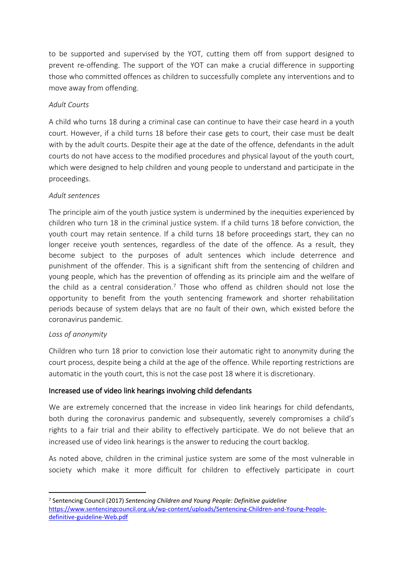to be supported and supervised by the YOT, cutting them off from support designed to prevent re-offending. The support of the YOT can make a crucial difference in supporting those who committed offences as children to successfully complete any interventions and to move away from offending.

### *Adult Courts*

A child who turns 18 during a criminal case can continue to have their case heard in a youth court. However, if a child turns 18 before their case gets to court, their case must be dealt with by the adult courts. Despite their age at the date of the offence, defendants in the adult courts do not have access to the modified procedures and physical layout of the youth court, which were designed to help children and young people to understand and participate in the proceedings.

#### *Adult sentences*

The principle aim of the youth justice system is undermined by the inequities experienced by children who turn 18 in the criminal justice system. If a child turns 18 before conviction, the youth court may retain sentence. If a child turns 18 before proceedings start, they can no longer receive youth sentences, regardless of the date of the offence. As a result, they become subject to the purposes of adult sentences which include deterrence and punishment of the offender. This is a significant shift from the sentencing of children and young people, which has the prevention of offending as its principle aim and the welfare of the child as a central consideration.<sup>7</sup> Those who offend as children should not lose the opportunity to benefit from the youth sentencing framework and shorter rehabilitation periods because of system delays that are no fault of their own, which existed before the coronavirus pandemic.

#### *Loss of anonymity*

Children who turn 18 prior to conviction lose their automatic right to anonymity during the court process, despite being a child at the age of the offence. While reporting restrictions are automatic in the youth court, this is not the case post 18 where it is discretionary.

## **Increased use of video link hearings involving child defendants**

We are extremely concerned that the increase in video link hearings for child defendants, both during the coronavirus pandemic and subsequently, severely compromises a child's rights to a fair trial and their ability to effectively participate. We do not believe that an increased use of video link hearings is the answer to reducing the court backlog.

As noted above, children in the criminal justice system are some of the most vulnerable in society which make it more difficult for children to effectively participate in court

<sup>7</sup> Sentencing Council (2017) *Sentencing Children and Young People: Definitive guideline* [https://www.sentencingcouncil.org.uk/wp-content/uploads/Sentencing-Children-and-Young-People](https://www.sentencingcouncil.org.uk/wp-content/uploads/Sentencing-Children-and-Young-People-definitive-guideline-Web.pdf)[definitive-guideline-Web.pdf](https://www.sentencingcouncil.org.uk/wp-content/uploads/Sentencing-Children-and-Young-People-definitive-guideline-Web.pdf)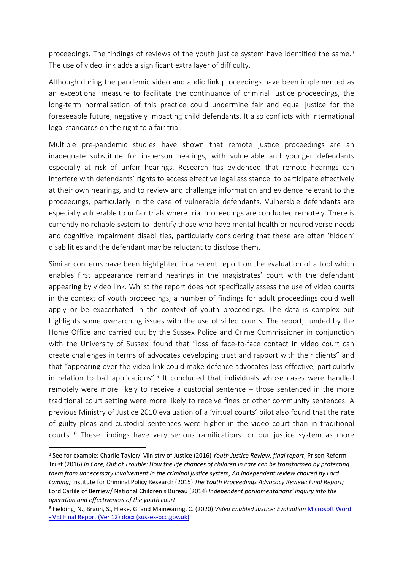proceedings. The findings of reviews of the youth justice system have identified the same.<sup>8</sup> The use of video link adds a significant extra layer of difficulty.

Although during the pandemic video and audio link proceedings have been implemented as an exceptional measure to facilitate the continuance of criminal justice proceedings, the long-term normalisation of this practice could undermine fair and equal justice for the foreseeable future, negatively impacting child defendants. It also conflicts with international legal standards on the right to a fair trial.

Multiple pre-pandemic studies have shown that remote justice proceedings are an inadequate substitute for in-person hearings, with vulnerable and younger defendants especially at risk of unfair hearings. Research has evidenced that remote hearings can interfere with defendants' rights to access effective legal assistance, to participate effectively at their own hearings, and to review and challenge information and evidence relevant to the proceedings, particularly in the case of vulnerable defendants. Vulnerable defendants are especially vulnerable to unfair trials where trial proceedings are conducted remotely. There is currently no reliable system to identify those who have mental health or neurodiverse needs and cognitive impairment disabilities, particularly considering that these are often 'hidden' disabilities and the defendant may be reluctant to disclose them.

Similar concerns have been highlighted in a recent report on the evaluation of a tool which enables first appearance remand hearings in the magistrates' court with the defendant appearing by video link. Whilst the report does not specifically assess the use of video courts in the context of youth proceedings, a number of findings for adult proceedings could well apply or be exacerbated in the context of youth proceedings. The data is complex but highlights some overarching issues with the use of video courts. The report, funded by the Home Office and carried out by the Sussex Police and Crime Commissioner in conjunction with the University of Sussex, found that "loss of face-to-face contact in video court can create challenges in terms of advocates developing trust and rapport with their clients" and that "appearing over the video link could make defence advocates less effective, particularly in relation to bail applications".<sup>9</sup> It concluded that individuals whose cases were handled remotely were more likely to receive a custodial sentence – those sentenced in the more traditional court setting were more likely to receive fines or other community sentences. A previous Ministry of Justice 2010 evaluation of a 'virtual courts' pilot also found that the rate of guilty pleas and custodial sentences were higher in the video court than in traditional courts.<sup>10</sup> These findings have very serious ramifications for our justice system as more

<sup>8</sup> See for example: Charlie Taylor/ Ministry of Justice (2016) *Youth Justice Review: final report*; Prison Reform Trust (2016) In Care, Out of Trouble: How the life chances of children in care can be transformed by protecting *them from unnecessary involvement in the criminal justice system, An independent review chaired by Lord Laming;* Institute for Criminal Policy Research (2015) *The Youth Proceedings Advocacy Review: Final Report;* Lord Carlile of Berriew/ National Children's Bureau (2014) *Independent parliamentarians' inquiry into the operation and effectiveness of the youth court*

<sup>9</sup> Fielding, N., Braun, S., Hieke, G. and Mainwaring, C. (2020) *Video Enabled Justice: Evaluation* [Microsoft](https://www.sussex-pcc.gov.uk/media/4862/vej-final-report-ver-12.pdf) [Word](https://www.sussex-pcc.gov.uk/media/4862/vej-final-report-ver-12.pdf) [-](https://www.sussex-pcc.gov.uk/media/4862/vej-final-report-ver-12.pdf) [VEJ](https://www.sussex-pcc.gov.uk/media/4862/vej-final-report-ver-12.pdf) [Final](https://www.sussex-pcc.gov.uk/media/4862/vej-final-report-ver-12.pdf) [Report](https://www.sussex-pcc.gov.uk/media/4862/vej-final-report-ver-12.pdf) [\(Ver](https://www.sussex-pcc.gov.uk/media/4862/vej-final-report-ver-12.pdf) [12\).docx](https://www.sussex-pcc.gov.uk/media/4862/vej-final-report-ver-12.pdf) [\(sussex-pcc.gov.uk\)](https://www.sussex-pcc.gov.uk/media/4862/vej-final-report-ver-12.pdf)